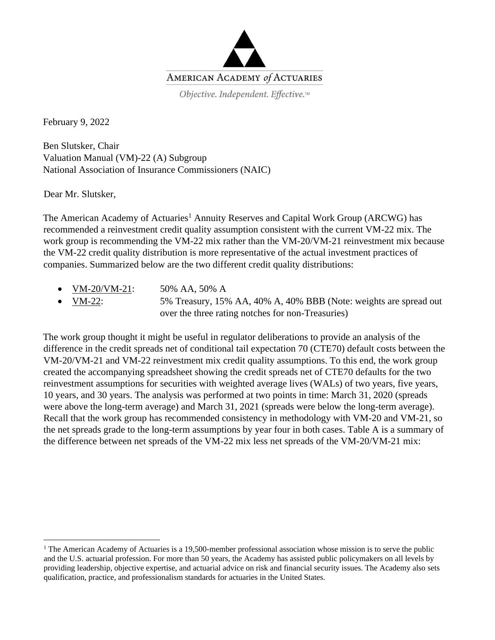

Objective. Independent. Effective.™

February 9, 2022

Ben Slutsker, Chair Valuation Manual (VM)-22 (A) Subgroup National Association of Insurance Commissioners (NAIC)

Dear Mr. Slutsker,

The American Academy of Actuaries<sup>1</sup> Annuity Reserves and Capital Work Group (ARCWG) has recommended a reinvestment credit quality assumption consistent with the current VM-22 mix. The work group is recommending the VM-22 mix rather than the VM-20/VM-21 reinvestment mix because the VM-22 credit quality distribution is more representative of the actual investment practices of companies. Summarized below are the two different credit quality distributions:

- VM-20/VM-21: 50% AA, 50% A
- VM-22: 5% Treasury, 15% AA, 40% A, 40% BBB (Note: weights are spread out over the three rating notches for non-Treasuries)

The work group thought it might be useful in regulator deliberations to provide an analysis of the difference in the credit spreads net of conditional tail expectation 70 (CTE70) default costs between the VM-20/VM-21 and VM-22 reinvestment mix credit quality assumptions. To this end, the work group created the accompanying spreadsheet showing the credit spreads net of CTE70 defaults for the two reinvestment assumptions for securities with weighted average lives (WALs) of two years, five years, 10 years, and 30 years. The analysis was performed at two points in time: March 31, 2020 (spreads were above the long-term average) and March 31, 2021 (spreads were below the long-term average). Recall that the work group has recommended consistency in methodology with VM-20 and VM-21, so the net spreads grade to the long-term assumptions by year four in both cases. Table A is a summary of the difference between net spreads of the VM-22 mix less net spreads of the VM-20/VM-21 mix:

<sup>&</sup>lt;sup>1</sup> The American Academy of Actuaries is a 19,500-member professional association whose mission is to serve the public and the U.S. actuarial profession. For more than 50 years, the Academy has assisted public policymakers on all levels by providing leadership, objective expertise, and actuarial advice on risk and financial security issues. The Academy also sets qualification, practice, and professionalism standards for actuaries in the United States.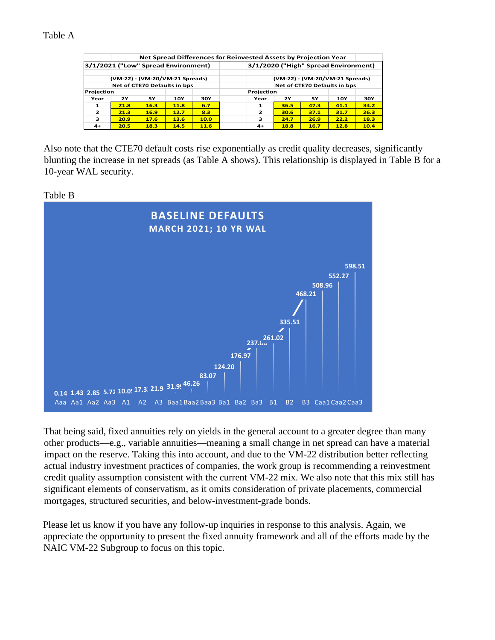## Table A

|                                     | Net Spread Differences for Reinvested Assets by Projection Year |             |            |      |                                 |                                      |      |            |      |  |
|-------------------------------------|-----------------------------------------------------------------|-------------|------------|------|---------------------------------|--------------------------------------|------|------------|------|--|
| 3/1/2021 ("Low" Spread Environment) |                                                                 |             |            |      |                                 | 3/1/2020 ("High" Spread Environment) |      |            |      |  |
| (VM-22) - (VM-20/VM-21 Spreads)     |                                                                 |             |            |      | (VM-22) - (VM-20/VM-21 Spreads) |                                      |      |            |      |  |
|                                     | Net of CTE70 Defaults in bps                                    |             |            |      |                                 | Net of CTE70 Defaults in bps         |      |            |      |  |
| Projection                          |                                                                 |             |            |      |                                 | Projection                           |      |            |      |  |
| Year                                | <b>2Y</b>                                                       | 5Υ          | <b>10Y</b> | 30Y  | Year                            | 2Y                                   | 5Υ   | <b>10Y</b> | 30Y  |  |
| 1                                   | 21.8                                                            | 16.3        | 11.8       | 6.7  | 1                               | 36.5                                 | 47.3 | 41.1       | 34.2 |  |
| $\overline{\phantom{a}}$            | 21.3                                                            | <b>16.9</b> | 12.7       | 8.3  | 2                               | 30.6                                 | 37.1 | 31.7       | 26.3 |  |
| з                                   | 20.9                                                            | 17.6        | 13.6       | 10.0 | 3                               | 24.7                                 | 26.9 | 22.2       | 18.3 |  |
| $4+$                                | 20.5                                                            | 18.3        | 14.5       | 11.6 | $4+$                            | 18.8                                 | 16.7 | 12.8       | 10.4 |  |

Also note that the CTE70 default costs rise exponentially as credit quality decreases, significantly blunting the increase in net spreads (as Table A shows). This relationship is displayed in Table B for a 10-year WAL security.





That being said, fixed annuities rely on yields in the general account to a greater degree than many other products—e.g., variable annuities—meaning a small change in net spread can have a material impact on the reserve. Taking this into account, and due to the VM-22 distribution better reflecting actual industry investment practices of companies, the work group is recommending a reinvestment credit quality assumption consistent with the current VM-22 mix. We also note that this mix still has significant elements of conservatism, as it omits consideration of private placements, commercial mortgages, structured securities, and below-investment-grade bonds.

Please let us know if you have any follow-up inquiries in response to this analysis. Again, we appreciate the opportunity to present the fixed annuity framework and all of the efforts made by the NAIC VM-22 Subgroup to focus on this topic.